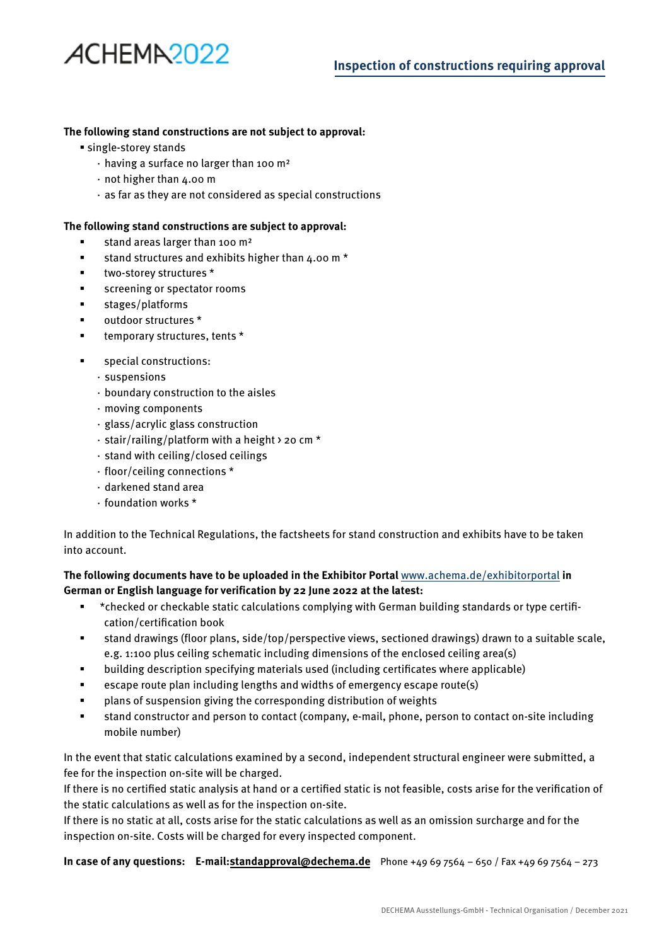# ACHEMA<sub>2022</sub>

#### **The following stand constructions are not subject to approval:**

- single-storey stands
	- ⋅ having a surface no larger than 100 m²
	- ⋅ not higher than 4.00 m
	- ⋅ as far as they are not considered as special constructions

#### **The following stand constructions are subject to approval:**

- **stand areas larger than 100 m<sup>2</sup>**
- **stand structures and exhibits higher than 4.00 m**  $*$
- **\*** two-storey structures \*
- **screening or spectator rooms**
- stages/platforms
- outdoor structures \*
- **temporary structures, tents \***
- **special constructions:** 
	- ⋅ suspensions
	- ⋅ boundary construction to the aisles
	- ⋅ moving components
	- ⋅ glass/acrylic glass construction
	- ⋅ stair/railing/platform with a height > 20 cm \*
	- ⋅ stand with ceiling/closed ceilings
	- ⋅ floor/ceiling connections \*
	- ⋅ darkened stand area
	- ⋅ foundation works \*

In addition to the Technical Regulations, the factsheets for stand construction and exhibits have to be taken into account.

**The following documents have to be uploaded in the Exhibitor Portal** www.achema.de/exhibitorportal **in German or English language for verification by 22 June 2022 at the latest:**

- \* checked or checkable static calculations complying with German building standards or type certification/certification book
- stand drawings (floor plans, side/top/perspective views, sectioned drawings) drawn to a suitable scale, e.g. 1:100 plus ceiling schematic including dimensions of the enclosed ceiling area(s)
- building description specifying materials used (including certificates where applicable)
- escape route plan including lengths and widths of emergency escape route(s)
- plans of suspension giving the corresponding distribution of weights
- stand constructor and person to contact (company, e-mail, phone, person to contact on-site including mobile number)

In the event that static calculations examined by a second, independent structural engineer were submitted, a fee for the inspection on-site will be charged.

If there is no certified static analysis at hand or a certified static is not feasible, costs arise for the verification of the static calculations as well as for the inspection on-site.

If there is no static at all, costs arise for the static calculations as well as an omission surcharge and for the inspection on-site. Costs will be charged for every inspected component.

**In case of any questions: E-mail:standapproval@dechema.de** Phone +49 69 7564 – 650 / Fax +49 69 7564 – 273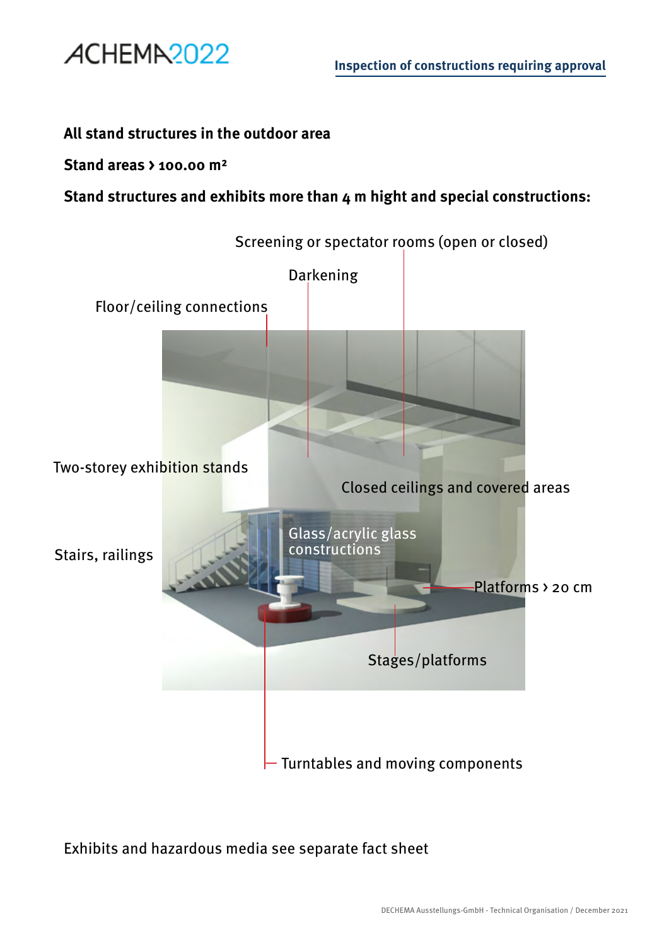

## **All stand structures in the outdoor area**

### **Stand areas > 100.00 m²**

**Stand structures and exhibits more than 4 m hight and special constructions:**



# Exhibits and hazardous media see separate fact sheet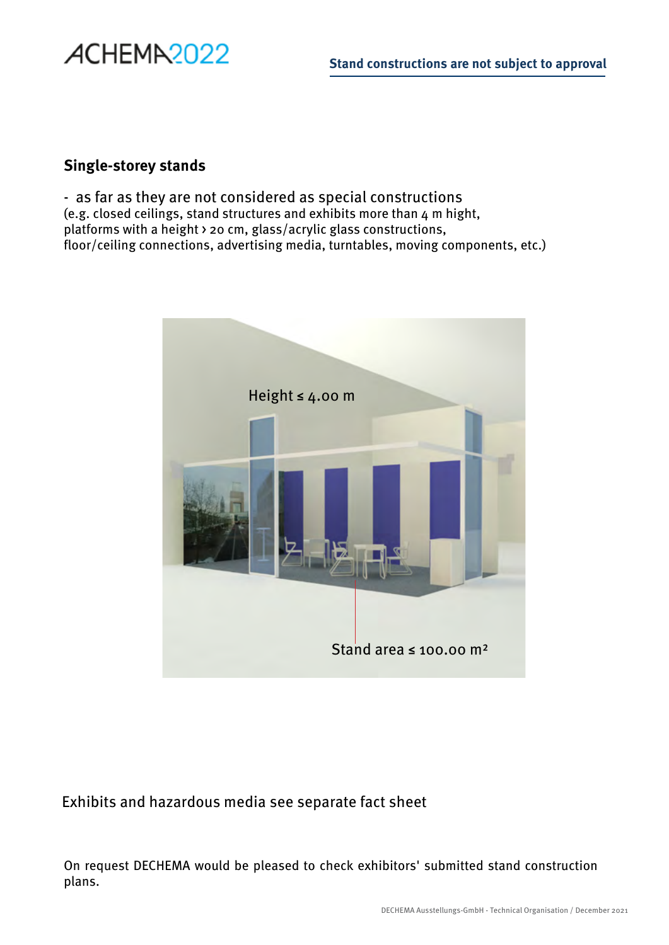## **Single-storey stands**

ACHEMA<sub>2022</sub>

- as far as they are not considered as special constructions (e.g. closed ceilings, stand structures and exhibits more than 4 m hight, platforms with a height > 20 cm, glass/acrylic glass constructions, floor/ceiling connections, advertising media, turntables, moving components, etc.)



# Exhibits and hazardous media see separate fact sheet

On request DECHEMA would be pleased to check exhibitors' submitted stand construction plans.